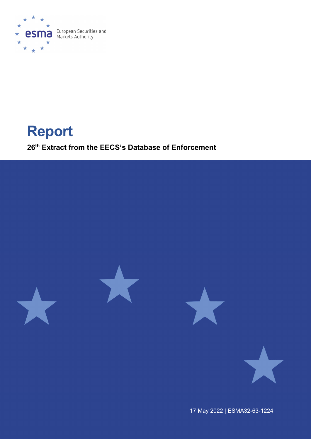

# Report

26 th Extract from the EECS's Database of Enforcement



17 May 2022 | ESMA32-63-1224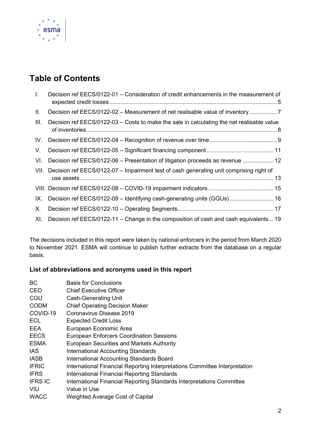

# Table of Contents

| $\mathbf{L}$ | Decision ref EECS/0122-01 - Consideration of credit enhancements in the measurement of       |
|--------------|----------------------------------------------------------------------------------------------|
| II.          | Decision ref EECS/0122-02 – Measurement of net realisable value of inventory                 |
| III.         | Decision ref EECS/0122-03 – Costs to make the sale in calculating the net realisable value   |
| IV.          |                                                                                              |
| V.           |                                                                                              |
| VI.          | Decision ref EECS/0122-06 - Presentation of litigation proceeds as revenue  12               |
|              | VII. Decision ref EECS/0122-07 - Impairment test of cash generating unit comprising right of |
|              |                                                                                              |
| IX.          | Decision ref EECS/0122-09 - Identifying cash-generating units (GGUs)  16                     |
| Х.           |                                                                                              |
| XI.          | Decision ref EECS/0122-11 – Change in the composition of cash and cash equivalents 19        |

The decisions included in this report were taken by national enforcers in the period from March 2020 to November 2021. ESMA will continue to publish further extracts from the database on a regular basis.

### List of abbreviations and acronyms used in this report

| <b>Basis for Conclusions</b>                                               |
|----------------------------------------------------------------------------|
| <b>Chief Executive Officer</b>                                             |
| <b>Cash-Generating Unit</b>                                                |
| <b>Chief Operating Decision Maker</b>                                      |
| Coronavirus Disease 2019                                                   |
| <b>Expected Credit Loss</b>                                                |
| European Economic Area                                                     |
| <b>European Enforcers Coordination Sessions</b>                            |
| <b>European Securities and Markets Authority</b>                           |
| <b>International Accounting Standards</b>                                  |
| International Accounting Standards Board                                   |
| International Financial Reporting Interpretations Committee Interpretation |
| International Financial Reporting Standards                                |
| International Financial Reporting Standards Interpretations Committee      |
| Value in Use                                                               |
| <b>Weighted Average Cost of Capital</b>                                    |
|                                                                            |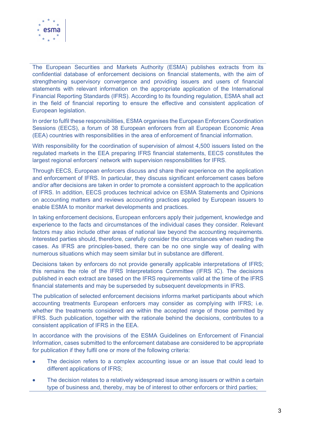

The European Securities and Markets Authority (ESMA) publishes extracts from its confidential database of enforcement decisions on financial statements, with the aim of strengthening supervisory convergence and providing issuers and users of financial statements with relevant information on the appropriate application of the International Financial Reporting Standards (IFRS). According to its founding regulation, ESMA shall act in the field of financial reporting to ensure the effective and consistent application of European legislation.

In order to fulfil these responsibilities, ESMA organises the European Enforcers Coordination Sessions (EECS), a forum of 38 European enforcers from all European Economic Area (EEA) countries with responsibilities in the area of enforcement of financial information.

With responsibility for the coordination of supervision of almost 4,500 issuers listed on the regulated markets in the EEA preparing IFRS financial statements, EECS constitutes the largest regional enforcers' network with supervision responsibilities for IFRS.

Through EECS, European enforcers discuss and share their experience on the application and enforcement of IFRS. In particular, they discuss significant enforcement cases before and/or after decisions are taken in order to promote a consistent approach to the application of IFRS. In addition, EECS produces technical advice on ESMA Statements and Opinions on accounting matters and reviews accounting practices applied by European issuers to enable ESMA to monitor market developments and practices.

In taking enforcement decisions, European enforcers apply their judgement, knowledge and experience to the facts and circumstances of the individual cases they consider. Relevant factors may also include other areas of national law beyond the accounting requirements. Interested parties should, therefore, carefully consider the circumstances when reading the cases. As IFRS are principles-based, there can be no one single way of dealing with numerous situations which may seem similar but in substance are different.

Decisions taken by enforcers do not provide generally applicable interpretations of IFRS; this remains the role of the IFRS Interpretations Committee (IFRS IC). The decisions published in each extract are based on the IFRS requirements valid at the time of the IFRS financial statements and may be superseded by subsequent developments in IFRS.

The publication of selected enforcement decisions informs market participants about which accounting treatments European enforcers may consider as complying with IFRS; i.e. whether the treatments considered are within the accepted range of those permitted by IFRS. Such publication, together with the rationale behind the decisions, contributes to a consistent application of IFRS in the EEA.

In accordance with the provisions of the ESMA Guidelines on Enforcement of Financial Information, cases submitted to the enforcement database are considered to be appropriate for publication if they fulfil one or more of the following criteria:

- The decision refers to a complex accounting issue or an issue that could lead to different applications of IFRS;
- The decision relates to a relatively widespread issue among issuers or within a certain type of business and, thereby, may be of interest to other enforcers or third parties;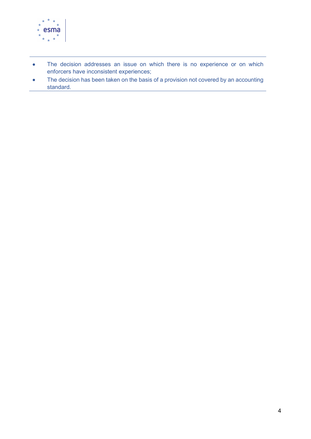

- The decision addresses an issue on which there is no experience or on which enforcers have inconsistent experiences;
- The decision has been taken on the basis of a provision not covered by an accounting standard.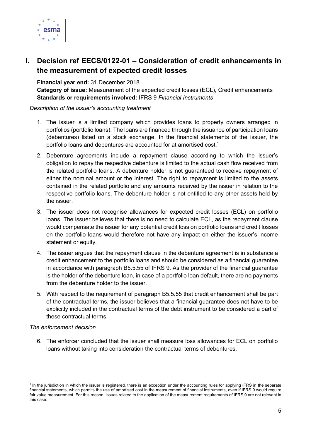

# I. Decision ref EECS/0122-01 – Consideration of credit enhancements in the measurement of expected credit losses

Financial year end: 31 December 2018

Category of issue: Measurement of the expected credit losses (ECL), Credit enhancements Standards or requirements involved: IFRS 9 Financial Instruments

#### Description of the issuer's accounting treatment

- 1. The issuer is a limited company which provides loans to property owners arranged in portfolios (portfolio loans). The loans are financed through the issuance of participation loans (debentures) listed on a stock exchange. In the financial statements of the issuer, the portfolio loans and debentures are accounted for at amortised cost.<sup>1</sup>
- 2. Debenture agreements include a repayment clause according to which the issuer's obligation to repay the respective debenture is limited to the actual cash flow received from the related portfolio loans. A debenture holder is not guaranteed to receive repayment of either the nominal amount or the interest. The right to repayment is limited to the assets contained in the related portfolio and any amounts received by the issuer in relation to the respective portfolio loans. The debenture holder is not entitled to any other assets held by the issuer.
- 3. The issuer does not recognise allowances for expected credit losses (ECL) on portfolio loans. The issuer believes that there is no need to calculate ECL, as the repayment clause would compensate the issuer for any potential credit loss on portfolio loans and credit losses on the portfolio loans would therefore not have any impact on either the issuer's income statement or equity.
- 4. The issuer argues that the repayment clause in the debenture agreement is in substance a credit enhancement to the portfolio loans and should be considered as a financial guarantee in accordance with paragraph B5.5.55 of IFRS 9. As the provider of the financial guarantee is the holder of the debenture loan, in case of a portfolio loan default, there are no payments from the debenture holder to the issuer.
- 5. With respect to the requirement of paragraph B5.5.55 that credit enhancement shall be part of the contractual terms, the issuer believes that a financial guarantee does not have to be explicitly included in the contractual terms of the debt instrument to be considered a part of these contractual terms.

#### The enforcement decision

6. The enforcer concluded that the issuer shall measure loss allowances for ECL on portfolio loans without taking into consideration the contractual terms of debentures.

<sup>&</sup>lt;sup>1</sup> In the jurisdiction in which the issuer is registered, there is an exception under the accounting rules for applying IFRS in the separate financial statements, which permits the use of amortised cost in the measurement of financial instruments, even if IFRS 9 would require fair value measurement. For this reason, issues related to the application of the measurement requirements of IFRS 9 are not relevant in this case.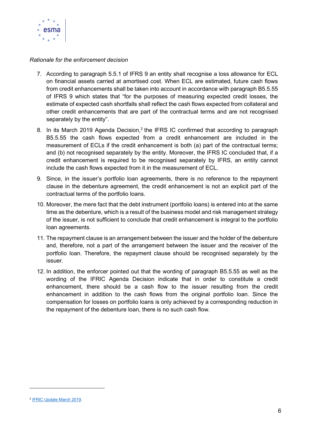

- 7. According to paragraph 5.5.1 of IFRS 9 an entity shall recognise a loss allowance for ECL on financial assets carried at amortised cost. When ECL are estimated, future cash flows from credit enhancements shall be taken into account in accordance with paragraph B5.5.55 of IFRS 9 which states that "for the purposes of measuring expected credit losses, the estimate of expected cash shortfalls shall reflect the cash flows expected from collateral and other credit enhancements that are part of the contractual terms and are not recognised separately by the entity".
- 8. In its March 2019 Agenda Decision,<sup>2</sup> the IFRS IC confirmed that according to paragraph B5.5.55 the cash flows expected from a credit enhancement are included in the measurement of ECLs if the credit enhancement is both (a) part of the contractual terms; and (b) not recognised separately by the entity. Moreover, the IFRS IC concluded that, if a credit enhancement is required to be recognised separately by IFRS, an entity cannot include the cash flows expected from it in the measurement of ECL.
- 9. Since, in the issuer's portfolio loan agreements, there is no reference to the repayment clause in the debenture agreement, the credit enhancement is not an explicit part of the contractual terms of the portfolio loans.
- 10. Moreover, the mere fact that the debt instrument (portfolio loans) is entered into at the same time as the debenture, which is a result of the business model and risk management strategy of the issuer, is not sufficient to conclude that credit enhancement is integral to the portfolio loan agreements.
- 11. The repayment clause is an arrangement between the issuer and the holder of the debenture and, therefore, not a part of the arrangement between the issuer and the receiver of the portfolio loan. Therefore, the repayment clause should be recognised separately by the issuer.
- 12. In addition, the enforcer pointed out that the wording of paragraph B5.5.55 as well as the wording of the IFRIC Agenda Decision indicate that in order to constitute a credit enhancement, there should be a cash flow to the issuer resulting from the credit enhancement in addition to the cash flows from the original portfolio loan. Since the compensation for losses on portfolio loans is only achieved by a corresponding reduction in the repayment of the debenture loan, there is no such cash flow.

<sup>&</sup>lt;sup>2</sup> IFRIC Update March 2019.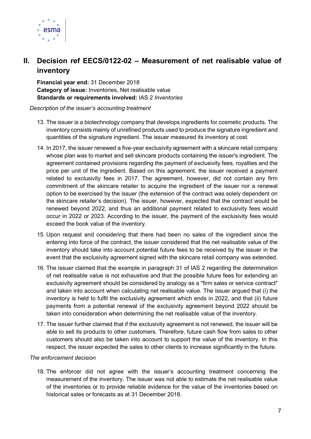

# II. Decision ref EECS/0122-02 – Measurement of net realisable value of inventory

Financial year end: 31 December 2018 Category of issue: Inventories, Net realisable value Standards or requirements involved: IAS 2 Inventories

Description of the issuer's accounting treatment

- 13. The issuer is a biotechnology company that develops ingredients for cosmetic products. The inventory consists mainly of unrefined products used to produce the signature ingredient and quantities of the signature ingredient. The issuer measured its inventory at cost.
- 14. In 2017, the issuer renewed a five-year exclusivity agreement with a skincare retail company whose plan was to market and sell skincare products containing the issuer's ingredient. The agreement contained provisions regarding the payment of exclusivity fees, royalties and the price per unit of the ingredient. Based on this agreement, the issuer received a payment related to exclusivity fees in 2017. The agreement, however, did not contain any firm commitment of the skincare retailer to acquire the ingredient of the issuer nor a renewal option to be exercised by the issuer (the extension of the contract was solely dependent on the skincare retailer's decision). The issuer, however, expected that the contract would be renewed beyond 2022, and thus an additional payment related to exclusivity fees would occur in 2022 or 2023. According to the issuer, the payment of the exclusivity fees would exceed the book value of the inventory.
- 15. Upon request and considering that there had been no sales of the ingredient since the entering into force of the contract, the issuer considered that the net realisable value of the inventory should take into account potential future fees to be received by the issuer in the event that the exclusivity agreement signed with the skincare retail company was extended.
- 16. The issuer claimed that the example in paragraph 31 of IAS 2 regarding the determination of net realisable value is not exhaustive and that the possible future fees for extending an exclusivity agreement should be considered by analogy as a "firm sales or service contract" and taken into account when calculating net realisable value. The issuer argued that (i) the inventory is held to fulfil the exclusivity agreement which ends in 2022, and that (ii) future payments from a potential renewal of the exclusivity agreement beyond 2022 should be taken into consideration when determining the net realisable value of the inventory.
- 17. The issuer further claimed that if the exclusivity agreement is not renewed, the issuer will be able to sell its products to other customers. Therefore, future cash flow from sales to other customers should also be taken into account to support the value of the inventory. In this respect, the issuer expected the sales to other clients to increase significantly in the future.

#### The enforcement decision

18. The enforcer did not agree with the issuer's accounting treatment concerning the measurement of the inventory. The issuer was not able to estimate the net realisable value of the inventories or to provide reliable evidence for the value of the inventories based on historical sales or forecasts as at 31 December 2018.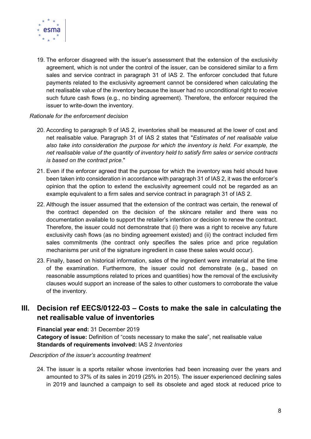

19. The enforcer disagreed with the issuer's assessment that the extension of the exclusivity agreement, which is not under the control of the issuer, can be considered similar to a firm sales and service contract in paragraph 31 of IAS 2. The enforcer concluded that future payments related to the exclusivity agreement cannot be considered when calculating the net realisable value of the inventory because the issuer had no unconditional right to receive such future cash flows (e.g., no binding agreement). Therefore, the enforcer required the issuer to write-down the inventory.

#### Rationale for the enforcement decision

- 20. According to paragraph 9 of IAS 2, inventories shall be measured at the lower of cost and net realisable value. Paragraph 31 of IAS 2 states that "Estimates of net realisable value also take into consideration the purpose for which the inventory is held. For example, the net realisable value of the quantity of inventory held to satisfy firm sales or service contracts is based on the contract price."
- 21. Even if the enforcer agreed that the purpose for which the inventory was held should have been taken into consideration in accordance with paragraph 31 of IAS 2, it was the enforcer's opinion that the option to extend the exclusivity agreement could not be regarded as an example equivalent to a firm sales and service contract in paragraph 31 of IAS 2.
- 22. Although the issuer assumed that the extension of the contract was certain, the renewal of the contract depended on the decision of the skincare retailer and there was no documentation available to support the retailer's intention or decision to renew the contract. Therefore, the issuer could not demonstrate that (i) there was a right to receive any future exclusivity cash flows (as no binding agreement existed) and (ii) the contract included firm sales commitments (the contract only specifies the sales price and price regulation mechanisms per unit of the signature ingredient in case these sales would occur).
- 23. Finally, based on historical information, sales of the ingredient were immaterial at the time of the examination. Furthermore, the issuer could not demonstrate (e.g., based on reasonable assumptions related to prices and quantities) how the removal of the exclusivity clauses would support an increase of the sales to other customers to corroborate the value of the inventory.

## III. Decision ref EECS/0122-03 – Costs to make the sale in calculating the net realisable value of inventories

Financial year end: 31 December 2019 Category of issue: Definition of "costs necessary to make the sale", net realisable value Standards of requirements involved: IAS 2 Inventories

#### Description of the issuer's accounting treatment

24. The issuer is a sports retailer whose inventories had been increasing over the years and amounted to 37% of its sales in 2019 (25% in 2015). The issuer experienced declining sales in 2019 and launched a campaign to sell its obsolete and aged stock at reduced price to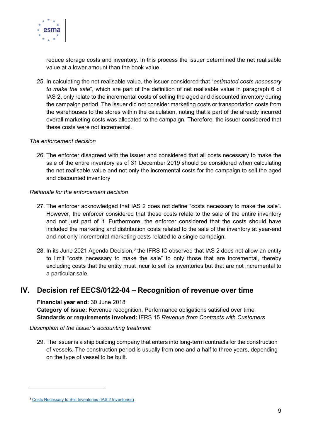

reduce storage costs and inventory. In this process the issuer determined the net realisable value at a lower amount than the book value.

25. In calculating the net realisable value, the issuer considered that "estimated costs necessary to make the sale", which are part of the definition of net realisable value in paragraph 6 of IAS 2, only relate to the incremental costs of selling the aged and discounted inventory during the campaign period. The issuer did not consider marketing costs or transportation costs from the warehouses to the stores within the calculation, noting that a part of the already incurred overall marketing costs was allocated to the campaign. Therefore, the issuer considered that these costs were not incremental.

#### The enforcement decision

26. The enforcer disagreed with the issuer and considered that all costs necessary to make the sale of the entire inventory as of 31 December 2019 should be considered when calculating the net realisable value and not only the incremental costs for the campaign to sell the aged and discounted inventory

#### Rationale for the enforcement decision

- 27. The enforcer acknowledged that IAS 2 does not define "costs necessary to make the sale". However, the enforcer considered that these costs relate to the sale of the entire inventory and not just part of it. Furthermore, the enforcer considered that the costs should have included the marketing and distribution costs related to the sale of the inventory at year-end and not only incremental marketing costs related to a single campaign.
- 28. In its June 2021 Agenda Decision,<sup>3</sup> the IFRS IC observed that IAS 2 does not allow an entity to limit "costs necessary to make the sale" to only those that are incremental, thereby excluding costs that the entity must incur to sell its inventories but that are not incremental to a particular sale.

## IV. Decision ref EECS/0122-04 – Recognition of revenue over time

Financial year end: 30 June 2018

Category of issue: Revenue recognition, Performance obligations satisfied over time Standards or requirements involved: IFRS 15 Revenue from Contracts with Customers

#### Description of the issuer's accounting treatment

29. The issuer is a ship building company that enters into long-term contracts for the construction of vessels. The construction period is usually from one and a half to three years, depending on the type of vessel to be built.

<sup>3</sup> Costs Necessary to Sell Inventories (IAS 2 Inventories)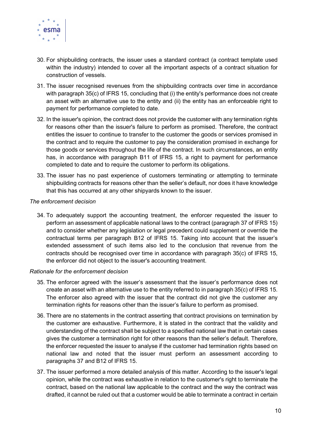

- 30. For shipbuilding contracts, the issuer uses a standard contract (a contract template used within the industry) intended to cover all the important aspects of a contract situation for construction of vessels.
- 31. The issuer recognised revenues from the shipbuilding contracts over time in accordance with paragraph 35(c) of IFRS 15, concluding that (i) the entity's performance does not create an asset with an alternative use to the entity and (ii) the entity has an enforceable right to payment for performance completed to date.
- 32. In the issuer's opinion, the contract does not provide the customer with any termination rights for reasons other than the issuer's failure to perform as promised. Therefore, the contract entitles the issuer to continue to transfer to the customer the goods or services promised in the contract and to require the customer to pay the consideration promised in exchange for those goods or services throughout the life of the contract. In such circumstances, an entity has, in accordance with paragraph B11 of IFRS 15, a right to payment for performance completed to date and to require the customer to perform its obligations.
- 33. The issuer has no past experience of customers terminating or attempting to terminate shipbuilding contracts for reasons other than the seller's default, nor does it have knowledge that this has occurred at any other shipyards known to the issuer.

#### The enforcement decision

34. To adequately support the accounting treatment, the enforcer requested the issuer to perform an assessment of applicable national laws to the contract (paragraph 37 of IFRS 15) and to consider whether any legislation or legal precedent could supplement or override the contractual terms per paragraph B12 of IFRS 15. Taking into account that the issuer's extended assessment of such items also led to the conclusion that revenue from the contracts should be recognised over time in accordance with paragraph 35(c) of IFRS 15, the enforcer did not object to the issuer's accounting treatment.

- 35. The enforcer agreed with the issuer's assessment that the issuer's performance does not create an asset with an alternative use to the entity referred to in paragraph 35(c) of IFRS 15. The enforcer also agreed with the issuer that the contract did not give the customer any termination rights for reasons other than the issuer's failure to perform as promised.
- 36. There are no statements in the contract asserting that contract provisions on termination by the customer are exhaustive. Furthermore, it is stated in the contract that the validity and understanding of the contract shall be subject to a specified national law that in certain cases gives the customer a termination right for other reasons than the seller's default. Therefore, the enforcer requested the issuer to analyse if the customer had termination rights based on national law and noted that the issuer must perform an assessment according to paragraphs 37 and B12 of IFRS 15.
- 37. The issuer performed a more detailed analysis of this matter. According to the issuer's legal opinion, while the contract was exhaustive in relation to the customer's right to terminate the contract, based on the national law applicable to the contract and the way the contract was drafted, it cannot be ruled out that a customer would be able to terminate a contract in certain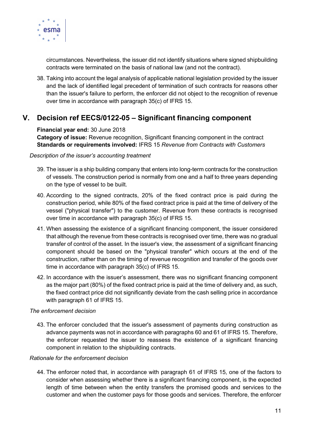

circumstances. Nevertheless, the issuer did not identify situations where signed shipbuilding contracts were terminated on the basis of national law (and not the contract).

38. Taking into account the legal analysis of applicable national legislation provided by the issuer and the lack of identified legal precedent of termination of such contracts for reasons other than the issuer's failure to perform, the enforcer did not object to the recognition of revenue over time in accordance with paragraph 35(c) of IFRS 15.

## V. Decision ref EECS/0122-05 – Significant financing component

#### Financial year end: 30 June 2018

Category of issue: Revenue recognition, Significant financing component in the contract Standards or requirements involved: IFRS 15 Revenue from Contracts with Customers

#### Description of the issuer's accounting treatment

- 39. The issuer is a ship building company that enters into long-term contracts for the construction of vessels. The construction period is normally from one and a half to three years depending on the type of vessel to be built.
- 40. According to the signed contracts, 20% of the fixed contract price is paid during the construction period, while 80% of the fixed contract price is paid at the time of delivery of the vessel ("physical transfer") to the customer. Revenue from these contracts is recognised over time in accordance with paragraph 35(c) of IFRS 15.
- 41. When assessing the existence of a significant financing component, the issuer considered that although the revenue from these contracts is recognised over time, there was no gradual transfer of control of the asset. In the issuer's view, the assessment of a significant financing component should be based on the "physical transfer" which occurs at the end of the construction, rather than on the timing of revenue recognition and transfer of the goods over time in accordance with paragraph 35(c) of IFRS 15.
- 42. In accordance with the issuer's assessment, there was no significant financing component as the major part (80%) of the fixed contract price is paid at the time of delivery and, as such, the fixed contract price did not significantly deviate from the cash selling price in accordance with paragraph 61 of IFRS 15.

#### The enforcement decision

43. The enforcer concluded that the issuer's assessment of payments during construction as advance payments was not in accordance with paragraphs 60 and 61 of IFRS 15. Therefore, the enforcer requested the issuer to reassess the existence of a significant financing component in relation to the shipbuilding contracts.

#### Rationale for the enforcement decision

44. The enforcer noted that, in accordance with paragraph 61 of IFRS 15, one of the factors to consider when assessing whether there is a significant financing component, is the expected length of time between when the entity transfers the promised goods and services to the customer and when the customer pays for those goods and services. Therefore, the enforcer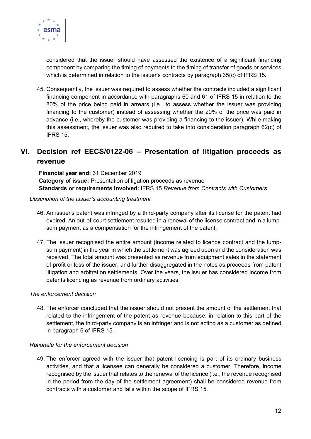

considered that the issuer should have assessed the existence of a significant financing component by comparing the timing of payments to the timing of transfer of goods or services which is determined in relation to the issuer's contracts by paragraph 35(c) of IFRS 15.

45. Consequently, the issuer was required to assess whether the contracts included a significant financing component in accordance with paragraphs 60 and 61 of IFRS 15 in relation to the 80% of the price being paid in arrears (i.e., to assess whether the issuer was providing financing to the customer) instead of assessing whether the 20% of the price was paid in advance (i.e., whereby the customer was providing a financing to the issuer). While making this assessment, the issuer was also required to take into consideration paragraph 62(c) of IFRS 15.

## VI. Decision ref EECS/0122-06 – Presentation of litigation proceeds as revenue

Financial year end: 31 December 2019 Category of issue: Presentation of ligation proceeds as revenue Standards or requirements involved: IFRS 15 Revenue from Contracts with Customers

#### Description of the issuer's accounting treatment

- 46. An issuer's patent was infringed by a third-party company after its license for the patent had expired. An out-of-court settlement resulted in a renewal of the license contract and in a lumpsum payment as a compensation for the infringement of the patent.
- 47. The issuer recognised the entire amount (income related to licence contract and the lumpsum payment) in the year in which the settlement was agreed upon and the consideration was received. The total amount was presented as revenue from equipment sales in the statement of profit or loss of the issuer, and further disaggregated in the notes as proceeds from patent litigation and arbitration settlements. Over the years, the issuer has considered income from patents licencing as revenue from ordinary activities.

#### The enforcement decision

48. The enforcer concluded that the issuer should not present the amount of the settlement that related to the infringement of the patent as revenue because, in relation to this part of the settlement, the third-party company is an infringer and is not acting as a customer as defined in paragraph 6 of IFRS 15.

#### Rationale for the enforcement decision

49. The enforcer agreed with the issuer that patent licencing is part of its ordinary business activities, and that a licensee can generally be considered a customer. Therefore, income recognised by the issuer that relates to the renewal of the licence (i.e., the revenue recognised in the period from the day of the settlement agreement) shall be considered revenue from contracts with a customer and falls within the scope of IFRS 15.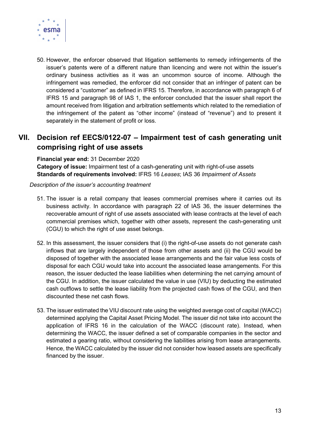

50. However, the enforcer observed that litigation settlements to remedy infringements of the issuer's patents were of a different nature than licencing and were not within the issuer's ordinary business activities as it was an uncommon source of income. Although the infringement was remedied, the enforcer did not consider that an infringer of patent can be considered a "customer" as defined in IFRS 15. Therefore, in accordance with paragraph 6 of IFRS 15 and paragraph 98 of IAS 1, the enforcer concluded that the issuer shall report the amount received from litigation and arbitration settlements which related to the remediation of the infringement of the patent as "other income" (instead of "revenue") and to present it separately in the statement of profit or loss.

# VII. Decision ref EECS/0122-07 – Impairment test of cash generating unit comprising right of use assets

Financial year end: 31 December 2020 Category of issue: Impairment test of a cash-generating unit with right-of-use assets Standards of requirements involved: IFRS 16 Leases; IAS 36 Impairment of Assets

#### Description of the issuer's accounting treatment

- 51. The issuer is a retail company that leases commercial premises where it carries out its business activity. In accordance with paragraph 22 of IAS 36, the issuer determines the recoverable amount of right of use assets associated with lease contracts at the level of each commercial premises which, together with other assets, represent the cash-generating unit (CGU) to which the right of use asset belongs.
- 52. In this assessment, the issuer considers that (i) the right-of-use assets do not generate cash inflows that are largely independent of those from other assets and (ii) the CGU would be disposed of together with the associated lease arrangements and the fair value less costs of disposal for each CGU would take into account the associated lease arrangements. For this reason, the issuer deducted the lease liabilities when determining the net carrying amount of the CGU. In addition, the issuer calculated the value in use (VIU) by deducting the estimated cash outflows to settle the lease liability from the projected cash flows of the CGU, and then discounted these net cash flows.
- 53. The issuer estimated the VIU discount rate using the weighted average cost of capital (WACC) determined applying the Capital Asset Pricing Model. The issuer did not take into account the application of IFRS 16 in the calculation of the WACC (discount rate). Instead, when determining the WACC, the issuer defined a set of comparable companies in the sector and estimated a gearing ratio, without considering the liabilities arising from lease arrangements. Hence, the WACC calculated by the issuer did not consider how leased assets are specifically financed by the issuer.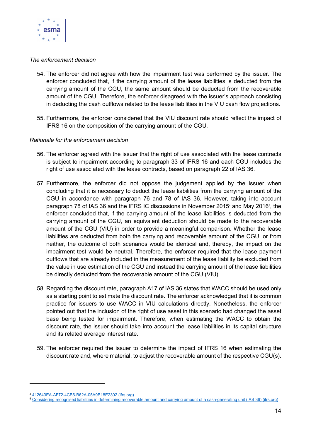

#### The enforcement decision

- 54. The enforcer did not agree with how the impairment test was performed by the issuer. The enforcer concluded that, if the carrying amount of the lease liabilities is deducted from the carrying amount of the CGU, the same amount should be deducted from the recoverable amount of the CGU. Therefore, the enforcer disagreed with the issuer's approach consisting in deducting the cash outflows related to the lease liabilities in the VIU cash flow projections.
- 55. Furthermore, the enforcer considered that the VIU discount rate should reflect the impact of IFRS 16 on the composition of the carrying amount of the CGU.

- 56. The enforcer agreed with the issuer that the right of use associated with the lease contracts is subject to impairment according to paragraph 33 of IFRS 16 and each CGU includes the right of use associated with the lease contracts, based on paragraph 22 of IAS 36.
- 57. Furthermore, the enforcer did not oppose the judgement applied by the issuer when concluding that it is necessary to deduct the lease liabilities from the carrying amount of the CGU in accordance with paragraph 76 and 78 of IAS 36. However, taking into account paragraph 78 of IAS 36 and the IFRS IC discussions in November 20154 and May 20165, the enforcer concluded that, if the carrying amount of the lease liabilities is deducted from the carrying amount of the CGU, an equivalent deduction should be made to the recoverable amount of the CGU (VIU) in order to provide a meaningful comparison. Whether the lease liabilities are deducted from both the carrying and recoverable amount of the CGU, or from neither, the outcome of both scenarios would be identical and, thereby, the impact on the impairment test would be neutral. Therefore, the enforcer required that the lease payment outflows that are already included in the measurement of the lease liability be excluded from the value in use estimation of the CGU and instead the carrying amount of the lease liabilities be directly deducted from the recoverable amount of the CGU (VIU).
- 58. Regarding the discount rate, paragraph A17 of IAS 36 states that WACC should be used only as a starting point to estimate the discount rate. The enforcer acknowledged that it is common practice for issuers to use WACC in VIU calculations directly. Nonetheless, the enforcer pointed out that the inclusion of the right of use asset in this scenario had changed the asset base being tested for impairment. Therefore, when estimating the WACC to obtain the discount rate, the issuer should take into account the lease liabilities in its capital structure and its related average interest rate.
- 59. The enforcer required the issuer to determine the impact of IFRS 16 when estimating the discount rate and, where material, to adjust the recoverable amount of the respective CGU(s).

<sup>4</sup> 412643EA-AF72-4CB6-B62A-05A9B18E2302 (ifrs.org)

<sup>5</sup> Considering recognised liabilities in determining recoverable amount and carrying amount of a cash-generating unit (IAS 36) (ifrs.org)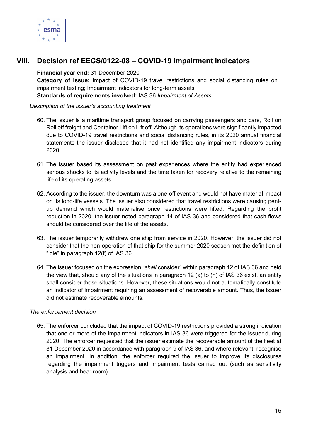

## VIII. Decision ref EECS/0122-08 – COVID-19 impairment indicators

#### Financial year end: 31 December 2020

Category of issue: Impact of COVID-19 travel restrictions and social distancing rules on impairment testing; Impairment indicators for long-term assets Standards of requirements involved: IAS 36 Impairment of Assets

#### Description of the issuer's accounting treatment

- 60. The issuer is a maritime transport group focused on carrying passengers and cars, Roll on Roll off freight and Container Lift on Lift off. Although its operations were significantly impacted due to COVID-19 travel restrictions and social distancing rules, in its 2020 annual financial statements the issuer disclosed that it had not identified any impairment indicators during 2020.
- 61. The issuer based its assessment on past experiences where the entity had experienced serious shocks to its activity levels and the time taken for recovery relative to the remaining life of its operating assets.
- 62. According to the issuer, the downturn was a one-off event and would not have material impact on its long-life vessels. The issuer also considered that travel restrictions were causing pentup demand which would materialise once restrictions were lifted. Regarding the profit reduction in 2020, the issuer noted paragraph 14 of IAS 36 and considered that cash flows should be considered over the life of the assets.
- 63. The issuer temporarily withdrew one ship from service in 2020. However, the issuer did not consider that the non-operation of that ship for the summer 2020 season met the definition of "idle" in paragraph 12(f) of IAS 36.
- 64. The issuer focused on the expression "shall consider" within paragraph 12 of IAS 36 and held the view that, should any of the situations in paragraph 12 (a) to (h) of IAS 36 exist, an entity shall consider those situations. However, these situations would not automatically constitute an indicator of impairment requiring an assessment of recoverable amount. Thus, the issuer did not estimate recoverable amounts.

#### The enforcement decision

65. The enforcer concluded that the impact of COVID-19 restrictions provided a strong indication that one or more of the impairment indicators in IAS 36 were triggered for the issuer during 2020. The enforcer requested that the issuer estimate the recoverable amount of the fleet at 31 December 2020 in accordance with paragraph 9 of IAS 36, and where relevant, recognise an impairment. In addition, the enforcer required the issuer to improve its disclosures regarding the impairment triggers and impairment tests carried out (such as sensitivity analysis and headroom).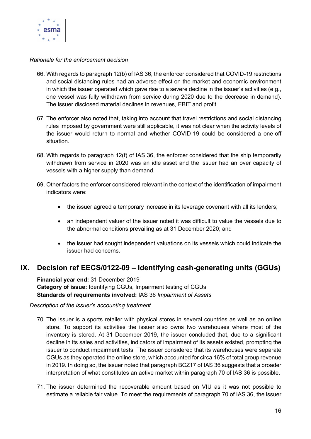

#### Rationale for the enforcement decision

- 66. With regards to paragraph 12(b) of IAS 36, the enforcer considered that COVID-19 restrictions and social distancing rules had an adverse effect on the market and economic environment in which the issuer operated which gave rise to a severe decline in the issuer's activities (e.g., one vessel was fully withdrawn from service during 2020 due to the decrease in demand). The issuer disclosed material declines in revenues, EBIT and profit.
- 67. The enforcer also noted that, taking into account that travel restrictions and social distancing rules imposed by government were still applicable, it was not clear when the activity levels of the issuer would return to normal and whether COVID-19 could be considered a one-off situation.
- 68. With regards to paragraph 12(f) of IAS 36, the enforcer considered that the ship temporarily withdrawn from service in 2020 was an idle asset and the issuer had an over capacity of vessels with a higher supply than demand.
- 69. Other factors the enforcer considered relevant in the context of the identification of impairment indicators were:
	- the issuer agreed a temporary increase in its leverage covenant with all its lenders;
	- an independent valuer of the issuer noted it was difficult to value the vessels due to the abnormal conditions prevailing as at 31 December 2020; and
	- the issuer had sought independent valuations on its vessels which could indicate the issuer had concerns.

## IX. Decision ref EECS/0122-09 – Identifying cash-generating units (GGUs)

Financial year end: 31 December 2019 Category of issue: Identifying CGUs, Impairment testing of CGUs Standards of requirements involved: IAS 36 Impairment of Assets

Description of the issuer's accounting treatment

- 70. The issuer is a sports retailer with physical stores in several countries as well as an online store. To support its activities the issuer also owns two warehouses where most of the inventory is stored. At 31 December 2019, the issuer concluded that, due to a significant decline in its sales and activities, indicators of impairment of its assets existed, prompting the issuer to conduct impairment tests. The issuer considered that its warehouses were separate CGUs as they operated the online store, which accounted for circa 16% of total group revenue in 2019. In doing so, the issuer noted that paragraph BCZ17 of IAS 36 suggests that a broader interpretation of what constitutes an active market within paragraph 70 of IAS 36 is possible.
- 71. The issuer determined the recoverable amount based on VIU as it was not possible to estimate a reliable fair value. To meet the requirements of paragraph 70 of IAS 36, the issuer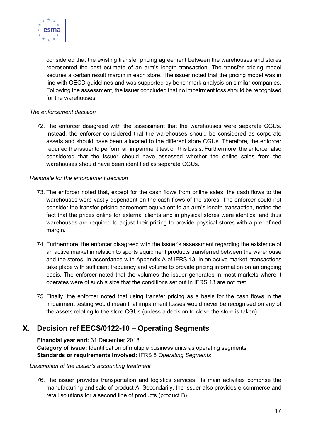

considered that the existing transfer pricing agreement between the warehouses and stores represented the best estimate of an arm's length transaction. The transfer pricing model secures a certain result margin in each store. The issuer noted that the pricing model was in line with OECD guidelines and was supported by benchmark analysis on similar companies. Following the assessment, the issuer concluded that no impairment loss should be recognised for the warehouses.

#### The enforcement decision

72. The enforcer disagreed with the assessment that the warehouses were separate CGUs. Instead, the enforcer considered that the warehouses should be considered as corporate assets and should have been allocated to the different store CGUs. Therefore, the enforcer required the issuer to perform an impairment test on this basis. Furthermore, the enforcer also considered that the issuer should have assessed whether the online sales from the warehouses should have been identified as separate CGUs.

#### Rationale for the enforcement decision

- 73. The enforcer noted that, except for the cash flows from online sales, the cash flows to the warehouses were vastly dependent on the cash flows of the stores. The enforcer could not consider the transfer pricing agreement equivalent to an arm's length transaction, noting the fact that the prices online for external clients and in physical stores were identical and thus warehouses are required to adjust their pricing to provide physical stores with a predefined margin.
- 74. Furthermore, the enforcer disagreed with the issuer's assessment regarding the existence of an active market in relation to sports equipment products transferred between the warehouse and the stores. In accordance with Appendix A of IFRS 13, in an active market, transactions take place with sufficient frequency and volume to provide pricing information on an ongoing basis. The enforcer noted that the volumes the issuer generates in most markets where it operates were of such a size that the conditions set out in IFRS 13 are not met.
- 75. Finally, the enforcer noted that using transfer pricing as a basis for the cash flows in the impairment testing would mean that impairment losses would never be recognised on any of the assets relating to the store CGUs (unless a decision to close the store is taken).

## X. Decision ref EECS/0122-10 – Operating Segments

Financial year end: 31 December 2018 Category of issue: Identification of multiple business units as operating segments Standards or requirements involved: IFRS 8 Operating Segments

#### Description of the issuer's accounting treatment

76. The issuer provides transportation and logistics services. Its main activities comprise the manufacturing and sale of product A. Secondarily, the issuer also provides e-commerce and retail solutions for a second line of products (product B).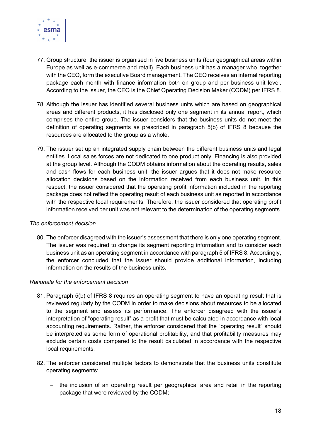

- 77. Group structure: the issuer is organised in five business units (four geographical areas within Europe as well as e-commerce and retail). Each business unit has a manager who, together with the CEO, form the executive Board management. The CEO receives an internal reporting package each month with finance information both on group and per business unit level. According to the issuer, the CEO is the Chief Operating Decision Maker (CODM) per IFRS 8.
- 78. Although the issuer has identified several business units which are based on geographical areas and different products, it has disclosed only one segment in its annual report, which comprises the entire group. The issuer considers that the business units do not meet the definition of operating segments as prescribed in paragraph 5(b) of IFRS 8 because the resources are allocated to the group as a whole.
- 79. The issuer set up an integrated supply chain between the different business units and legal entities. Local sales forces are not dedicated to one product only. Financing is also provided at the group level. Although the CODM obtains information about the operating results, sales and cash flows for each business unit, the issuer argues that it does not make resource allocation decisions based on the information received from each business unit. In this respect, the issuer considered that the operating profit information included in the reporting package does not reflect the operating result of each business unit as reported in accordance with the respective local requirements. Therefore, the issuer considered that operating profit information received per unit was not relevant to the determination of the operating segments.

#### The enforcement decision

80. The enforcer disagreed with the issuer's assessment that there is only one operating segment. The issuer was required to change its segment reporting information and to consider each business unit as an operating segment in accordance with paragraph 5 of IFRS 8. Accordingly, the enforcer concluded that the issuer should provide additional information, including information on the results of the business units.

- 81. Paragraph 5(b) of IFRS 8 requires an operating segment to have an operating result that is reviewed regularly by the CODM in order to make decisions about resources to be allocated to the segment and assess its performance. The enforcer disagreed with the issuer's interpretation of "operating result" as a profit that must be calculated in accordance with local accounting requirements. Rather, the enforcer considered that the "operating result" should be interpreted as some form of operational profitability, and that profitability measures may exclude certain costs compared to the result calculated in accordance with the respective local requirements.
- 82. The enforcer considered multiple factors to demonstrate that the business units constitute operating segments:
	- the inclusion of an operating result per geographical area and retail in the reporting package that were reviewed by the CODM;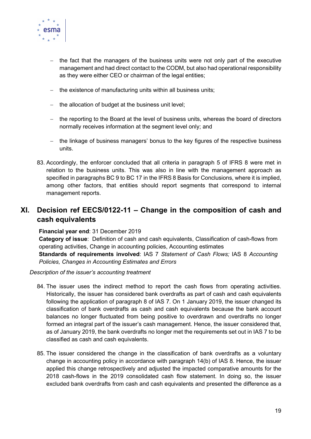

- $-$  the fact that the managers of the business units were not only part of the executive management and had direct contact to the CODM, but also had operational responsibility as they were either CEO or chairman of the legal entities;
- $-$  the existence of manufacturing units within all business units;
- $-$  the allocation of budget at the business unit level;
- the reporting to the Board at the level of business units, whereas the board of directors normally receives information at the segment level only; and
- the linkage of business managers' bonus to the key figures of the respective business units.
- 83. Accordingly, the enforcer concluded that all criteria in paragraph 5 of IFRS 8 were met in relation to the business units. This was also in line with the management approach as specified in paragraphs BC 9 to BC 17 in the IFRS 8 Basis for Conclusions, where it is implied, among other factors, that entities should report segments that correspond to internal management reports.

## XI. Decision ref EECS/0122-11 – Change in the composition of cash and cash equivalents

#### Financial year end: 31 December 2019

Category of issue: Definition of cash and cash equivalents, Classification of cash-flows from operating activities, Change in accounting policies, Accounting estimates

Standards of requirements involved: IAS 7 Statement of Cash Flows: IAS 8 Accounting Policies, Changes in Accounting Estimates and Errors

#### Description of the issuer's accounting treatment

- 84. The issuer uses the indirect method to report the cash flows from operating activities. Historically, the issuer has considered bank overdrafts as part of cash and cash equivalents following the application of paragraph 8 of IAS 7. On 1 January 2019, the issuer changed its classification of bank overdrafts as cash and cash equivalents because the bank account balances no longer fluctuated from being positive to overdrawn and overdrafts no longer formed an integral part of the issuer's cash management. Hence, the issuer considered that, as of January 2019, the bank overdrafts no longer met the requirements set out in IAS 7 to be classified as cash and cash equivalents.
- 85. The issuer considered the change in the classification of bank overdrafts as a voluntary change in accounting policy in accordance with paragraph 14(b) of IAS 8. Hence, the issuer applied this change retrospectively and adjusted the impacted comparative amounts for the 2018 cash-flows in the 2019 consolidated cash flow statement. In doing so, the issuer excluded bank overdrafts from cash and cash equivalents and presented the difference as a